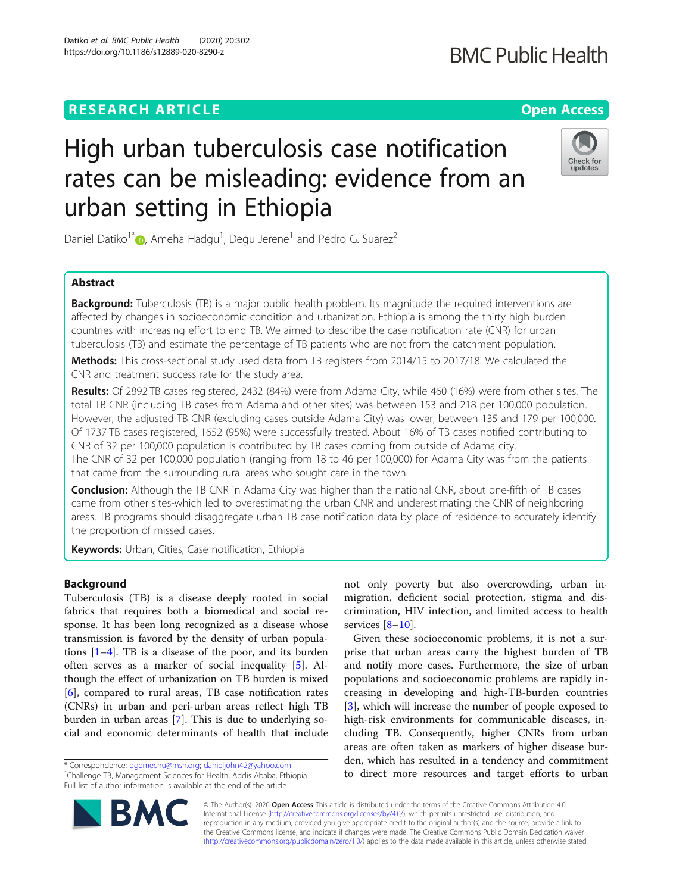## **RESEARCH ARTICLE Example 2014 12:30 The Contract of Contract ACCESS**

Datiko et al. BMC Public Health (2020) 20:302 https://doi.org/10.1186/s12889-020-8290-z

# High urban tuberculosis case notification rates can be misleading: evidence from an urban setting in Ethiopia

Daniel Datiko<sup>1\*</sup> D, Ameha Hadgu<sup>1</sup>, Degu Jerene<sup>1</sup> and Pedro G. Suarez<sup>2</sup>

## Abstract

**Background:** Tuberculosis (TB) is a major public health problem. Its magnitude the required interventions are affected by changes in socioeconomic condition and urbanization. Ethiopia is among the thirty high burden countries with increasing effort to end TB. We aimed to describe the case notification rate (CNR) for urban tuberculosis (TB) and estimate the percentage of TB patients who are not from the catchment population.

Methods: This cross-sectional study used data from TB registers from 2014/15 to 2017/18. We calculated the CNR and treatment success rate for the study area.

Results: Of 2892 TB cases registered, 2432 (84%) were from Adama City, while 460 (16%) were from other sites. The total TB CNR (including TB cases from Adama and other sites) was between 153 and 218 per 100,000 population. However, the adjusted TB CNR (excluding cases outside Adama City) was lower, between 135 and 179 per 100,000. Of 1737 TB cases registered, 1652 (95%) were successfully treated. About 16% of TB cases notified contributing to CNR of 32 per 100,000 population is contributed by TB cases coming from outside of Adama city.

The CNR of 32 per 100,000 population (ranging from 18 to 46 per 100,000) for Adama City was from the patients that came from the surrounding rural areas who sought care in the town.

**Conclusion:** Although the TB CNR in Adama City was higher than the national CNR, about one-fifth of TB cases came from other sites-which led to overestimating the urban CNR and underestimating the CNR of neighboring areas. TB programs should disaggregate urban TB case notification data by place of residence to accurately identify the proportion of missed cases.

**Keywords:** Urban, Cities, Case notification, Ethiopia

## Background

Tuberculosis (TB) is a disease deeply rooted in social fabrics that requires both a biomedical and social response. It has been long recognized as a disease whose transmission is favored by the density of urban populations [[1](#page-5-0)–[4](#page-5-0)]. TB is a disease of the poor, and its burden often serves as a marker of social inequality [[5\]](#page-5-0). Although the effect of urbanization on TB burden is mixed [[6\]](#page-5-0), compared to rural areas, TB case notification rates (CNRs) in urban and peri-urban areas reflect high TB burden in urban areas [[7](#page-5-0)]. This is due to underlying social and economic determinants of health that include

\* Correspondence: [dgemechu@msh.org;](mailto:dgemechu@msh.org) [danieljohn42@yahoo.com](mailto:danieljohn42@yahoo.com) <sup>1</sup>

© The Author(s). 2020 **Open Access** This article is distributed under the terms of the Creative Commons Attribution 4.0

International License [\(http://creativecommons.org/licenses/by/4.0/](http://creativecommons.org/licenses/by/4.0/)), which permits unrestricted use, distribution, and reproduction in any medium, provided you give appropriate credit to the original author(s) and the source, provide a link to the Creative Commons license, and indicate if changes were made. The Creative Commons Public Domain Dedication waiver [\(http://creativecommons.org/publicdomain/zero/1.0/](http://creativecommons.org/publicdomain/zero/1.0/)) applies to the data made available in this article, unless otherwise stated.

not only poverty but also overcrowding, urban inmigration, deficient social protection, stigma and discrimination, HIV infection, and limited access to health services [\[8](#page-5-0)–[10](#page-5-0)].

Given these socioeconomic problems, it is not a surprise that urban areas carry the highest burden of TB and notify more cases. Furthermore, the size of urban populations and socioeconomic problems are rapidly increasing in developing and high-TB-burden countries [[3\]](#page-5-0), which will increase the number of people exposed to high-risk environments for communicable diseases, including TB. Consequently, higher CNRs from urban areas are often taken as markers of higher disease burden, which has resulted in a tendency and commitment to direct more resources and target efforts to urban







<sup>&</sup>lt;sup>1</sup> Challenge TB, Management Sciences for Health, Addis Ababa, Ethiopia Full list of author information is available at the end of the article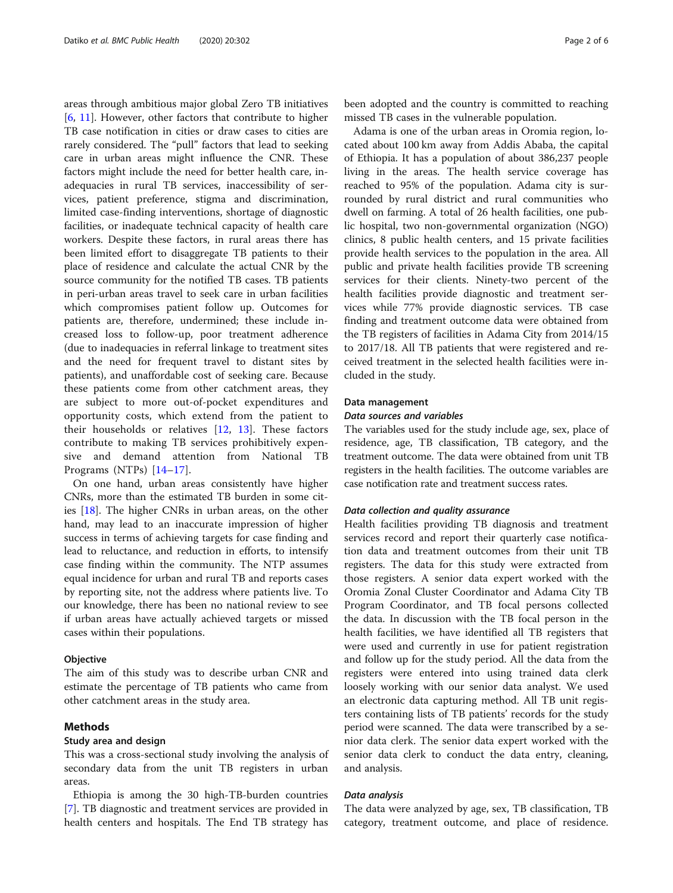areas through ambitious major global Zero TB initiatives [[6,](#page-5-0) [11](#page-5-0)]. However, other factors that contribute to higher TB case notification in cities or draw cases to cities are rarely considered. The "pull" factors that lead to seeking care in urban areas might influence the CNR. These factors might include the need for better health care, inadequacies in rural TB services, inaccessibility of services, patient preference, stigma and discrimination, limited case-finding interventions, shortage of diagnostic facilities, or inadequate technical capacity of health care workers. Despite these factors, in rural areas there has been limited effort to disaggregate TB patients to their place of residence and calculate the actual CNR by the source community for the notified TB cases. TB patients in peri-urban areas travel to seek care in urban facilities which compromises patient follow up. Outcomes for patients are, therefore, undermined; these include increased loss to follow-up, poor treatment adherence (due to inadequacies in referral linkage to treatment sites and the need for frequent travel to distant sites by patients), and unaffordable cost of seeking care. Because these patients come from other catchment areas, they are subject to more out-of-pocket expenditures and opportunity costs, which extend from the patient to their households or relatives  $[12, 13]$  $[12, 13]$  $[12, 13]$  $[12, 13]$ . These factors contribute to making TB services prohibitively expensive and demand attention from National TB Programs (NTPs) [[14](#page-5-0)–[17\]](#page-5-0).

On one hand, urban areas consistently have higher CNRs, more than the estimated TB burden in some cities [\[18](#page-5-0)]. The higher CNRs in urban areas, on the other hand, may lead to an inaccurate impression of higher success in terms of achieving targets for case finding and lead to reluctance, and reduction in efforts, to intensify case finding within the community. The NTP assumes equal incidence for urban and rural TB and reports cases by reporting site, not the address where patients live. To our knowledge, there has been no national review to see if urban areas have actually achieved targets or missed cases within their populations.

#### Objective

The aim of this study was to describe urban CNR and estimate the percentage of TB patients who came from other catchment areas in the study area.

## Methods

#### Study area and design

This was a cross-sectional study involving the analysis of secondary data from the unit TB registers in urban areas.

Ethiopia is among the 30 high-TB-burden countries [[7\]](#page-5-0). TB diagnostic and treatment services are provided in health centers and hospitals. The End TB strategy has

been adopted and the country is committed to reaching missed TB cases in the vulnerable population.

Adama is one of the urban areas in Oromia region, located about 100 km away from Addis Ababa, the capital of Ethiopia. It has a population of about 386,237 people living in the areas. The health service coverage has reached to 95% of the population. Adama city is surrounded by rural district and rural communities who dwell on farming. A total of 26 health facilities, one public hospital, two non-governmental organization (NGO) clinics, 8 public health centers, and 15 private facilities provide health services to the population in the area. All public and private health facilities provide TB screening services for their clients. Ninety-two percent of the health facilities provide diagnostic and treatment services while 77% provide diagnostic services. TB case finding and treatment outcome data were obtained from the TB registers of facilities in Adama City from 2014/15 to 2017/18. All TB patients that were registered and received treatment in the selected health facilities were included in the study.

## Data management

#### Data sources and variables

The variables used for the study include age, sex, place of residence, age, TB classification, TB category, and the treatment outcome. The data were obtained from unit TB registers in the health facilities. The outcome variables are case notification rate and treatment success rates.

## Data collection and quality assurance

Health facilities providing TB diagnosis and treatment services record and report their quarterly case notification data and treatment outcomes from their unit TB registers. The data for this study were extracted from those registers. A senior data expert worked with the Oromia Zonal Cluster Coordinator and Adama City TB Program Coordinator, and TB focal persons collected the data. In discussion with the TB focal person in the health facilities, we have identified all TB registers that were used and currently in use for patient registration and follow up for the study period. All the data from the registers were entered into using trained data clerk loosely working with our senior data analyst. We used an electronic data capturing method. All TB unit registers containing lists of TB patients' records for the study period were scanned. The data were transcribed by a senior data clerk. The senior data expert worked with the senior data clerk to conduct the data entry, cleaning, and analysis.

#### Data analysis

The data were analyzed by age, sex, TB classification, TB category, treatment outcome, and place of residence.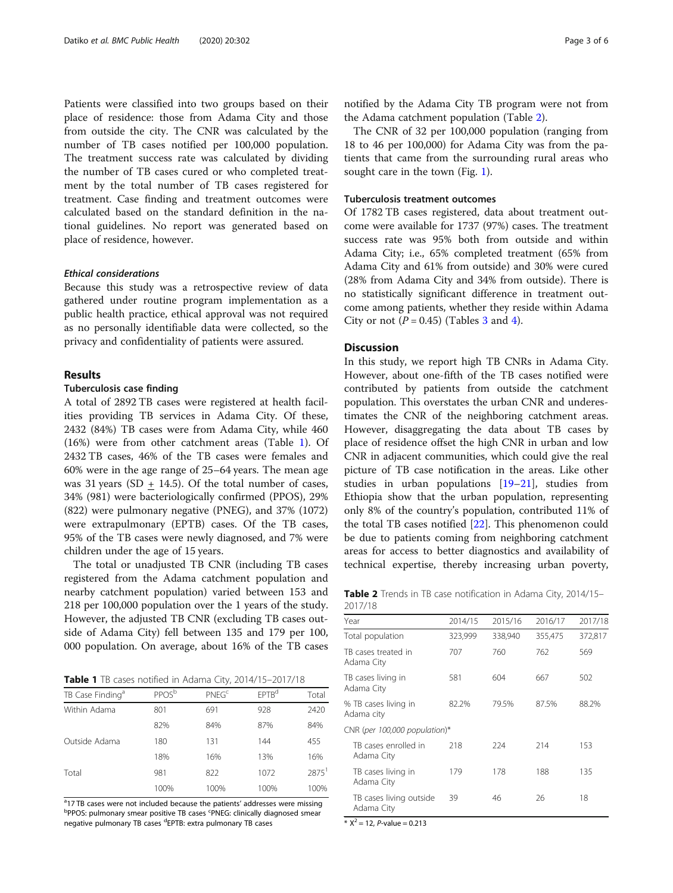Patients were classified into two groups based on their place of residence: those from Adama City and those from outside the city. The CNR was calculated by the number of TB cases notified per 100,000 population. The treatment success rate was calculated by dividing the number of TB cases cured or who completed treatment by the total number of TB cases registered for treatment. Case finding and treatment outcomes were calculated based on the standard definition in the national guidelines. No report was generated based on place of residence, however.

#### Ethical considerations

Because this study was a retrospective review of data gathered under routine program implementation as a public health practice, ethical approval was not required as no personally identifiable data were collected, so the privacy and confidentiality of patients were assured.

## Results

## Tuberculosis case finding

A total of 2892 TB cases were registered at health facilities providing TB services in Adama City. Of these, 2432 (84%) TB cases were from Adama City, while 460 (16%) were from other catchment areas (Table 1). Of 2432 TB cases, 46% of the TB cases were females and 60% were in the age range of 25–64 years. The mean age was 31 years (SD + 14.5). Of the total number of cases, 34% (981) were bacteriologically confirmed (PPOS), 29% (822) were pulmonary negative (PNEG), and 37% (1072) were extrapulmonary (EPTB) cases. Of the TB cases, 95% of the TB cases were newly diagnosed, and 7% were children under the age of 15 years.

The total or unadjusted TB CNR (including TB cases registered from the Adama catchment population and nearby catchment population) varied between 153 and 218 per 100,000 population over the 1 years of the study. However, the adjusted TB CNR (excluding TB cases outside of Adama City) fell between 135 and 179 per 100, 000 population. On average, about 16% of the TB cases

Table 1 TB cases notified in Adama City, 2014/15-2017/18

| TB Case Finding <sup>a</sup> | PPOS <sup>b</sup> | PNFGC | <b>FPTB</b> <sup>d</sup> | Total |
|------------------------------|-------------------|-------|--------------------------|-------|
| Within Adama                 | 801               | 691   | 928                      | 2420  |
|                              | 82%               | 84%   | 87%                      | 84%   |
| Outside Adama                | 180               | 131   | 144                      | 455   |
|                              | 18%               | 16%   | 13%                      | 16%   |
| Total                        | 981               | 822   | 1072                     | 2875  |
|                              | 100%              | 100%  | 100%                     | 100%  |

<sup>a</sup>17 TB cases were not included because the patients' addresses were missing<br>**bppOS:** pulmonany smost positive TB cases <sup>S</sup>PNEG: clinically diagnosed smoar PPOS: pulmonary smear positive TB cases <sup>c</sup>PNEG: clinically diagnosed smear negative pulmonary TB cases <sup>d</sup>EPTB: extra pulmonary TB cases

notified by the Adama City TB program were not from the Adama catchment population (Table 2).

The CNR of 32 per 100,000 population (ranging from 18 to 46 per 100,000) for Adama City was from the patients that came from the surrounding rural areas who sought care in the town (Fig. [1\)](#page-3-0).

## Tuberculosis treatment outcomes

Of 1782 TB cases registered, data about treatment outcome were available for 1737 (97%) cases. The treatment success rate was 95% both from outside and within Adama City; i.e., 65% completed treatment (65% from Adama City and 61% from outside) and 30% were cured (28% from Adama City and 34% from outside). There is no statistically significant difference in treatment outcome among patients, whether they reside within Adama City or not  $(P = 0.45)$  (Tables [3](#page-3-0) and [4\)](#page-3-0).

#### **Discussion**

In this study, we report high TB CNRs in Adama City. However, about one-fifth of the TB cases notified were contributed by patients from outside the catchment population. This overstates the urban CNR and underestimates the CNR of the neighboring catchment areas. However, disaggregating the data about TB cases by place of residence offset the high CNR in urban and low CNR in adjacent communities, which could give the real picture of TB case notification in the areas. Like other studies in urban populations  $[19-21]$  $[19-21]$  $[19-21]$ , studies from Ethiopia show that the urban population, representing only 8% of the country's population, contributed 11% of the total TB cases notified [\[22](#page-5-0)]. This phenomenon could be due to patients coming from neighboring catchment areas for access to better diagnostics and availability of technical expertise, thereby increasing urban poverty,

**Table 2** Trends in TB case notification in Adama City, 2014/15– 2017/18

| Year                                  | 2014/15 | 2015/16 | 2016/17 | 2017/18 |
|---------------------------------------|---------|---------|---------|---------|
| Total population                      | 323,999 | 338,940 | 355,475 | 372,817 |
| TB cases treated in<br>Adama City     | 707     | 760     | 762     | 569     |
| TB cases living in<br>Adama City      | 581     | 604     | 667     | 502     |
| % TB cases living in<br>Adama city    | 82.2%   | 79.5%   | 87.5%   | 88.2%   |
| CNR (per 100,000 population)*         |         |         |         |         |
| TB cases enrolled in<br>Adama City    | 218     | 224     | 214     | 153     |
| TB cases living in<br>Adama City      | 179     | 178     | 188     | 135     |
| TB cases living outside<br>Adama City | 39      | 46      | 26      | 18      |

 $*$   $X^2 = 12$ , *P*-value = 0.213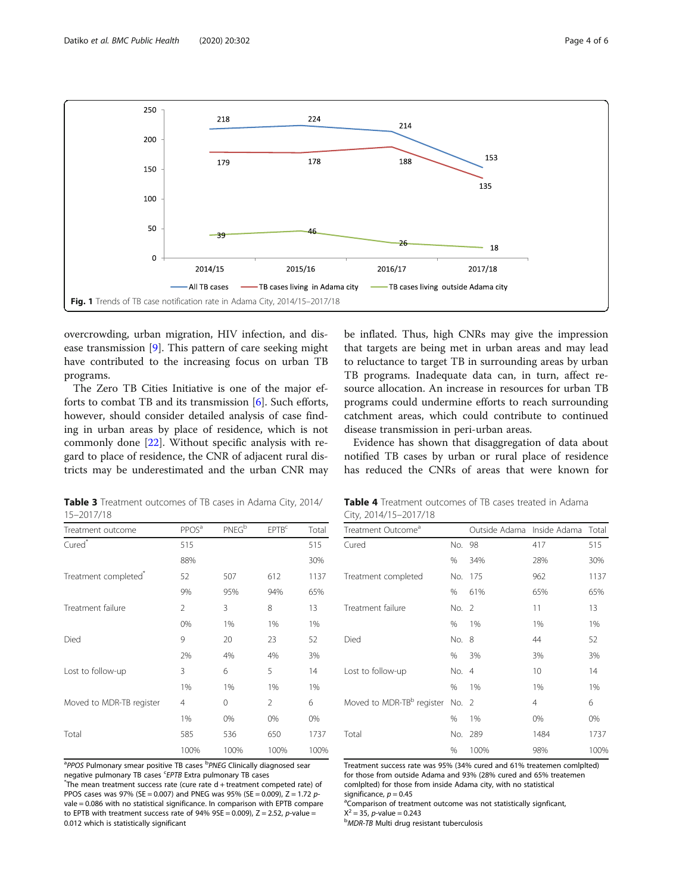<span id="page-3-0"></span>

overcrowding, urban migration, HIV infection, and disease transmission [[9\]](#page-5-0). This pattern of care seeking might have contributed to the increasing focus on urban TB programs.

The Zero TB Cities Initiative is one of the major efforts to combat TB and its transmission [\[6](#page-5-0)]. Such efforts, however, should consider detailed analysis of case finding in urban areas by place of residence, which is not commonly done [[22\]](#page-5-0). Without specific analysis with regard to place of residence, the CNR of adjacent rural districts may be underestimated and the urban CNR may be inflated. Thus, high CNRs may give the impression that targets are being met in urban areas and may lead to reluctance to target TB in surrounding areas by urban TB programs. Inadequate data can, in turn, affect resource allocation. An increase in resources for urban TB programs could undermine efforts to reach surrounding catchment areas, which could contribute to continued disease transmission in peri-urban areas.

Evidence has shown that disaggregation of data about notified TB cases by urban or rural place of residence has reduced the CNRs of areas that were known for

Table 4 Treatment outcomes of TB cases treated in Adama

Table 3 Treatment outcomes of TB cases in Adama City, 2014/ 15–2017/18

| Treatment outcome                | PPOS <sup>a</sup> | <b>PNEG</b> b | EPTB <sup>c</sup> | Total |
|----------------------------------|-------------------|---------------|-------------------|-------|
| Cured <sup>*</sup>               | 515               |               |                   | 515   |
|                                  | 88%               |               |                   | 30%   |
| Treatment completed <sup>®</sup> | 52                | 507           | 612               | 1137  |
|                                  | 9%                | 95%           | 94%               | 65%   |
| Treatment failure                | 2                 | 3             | 8                 | 13    |
|                                  | 0%                | 1%            | 1%                | 1%    |
| Died                             | 9                 | 20            | 23                | 52    |
|                                  | 2%                | 4%            | 4%                | 3%    |
| Lost to follow-up                | 3                 | 6             | 5                 | 14    |
|                                  | 1%                | 1%            | 1%                | 1%    |
| Moved to MDR-TB register         | $\overline{4}$    | $\Omega$      | $\overline{2}$    | 6     |
|                                  | 1%                | 0%            | 0%                | 0%    |
| Total                            | 585               | 536           | 650               | 1737  |
|                                  | 100%              | 100%          | 100%              | 100%  |

<sup>a</sup>PPOS Pulmonary smear positive TB cases <sup>b</sup>PNEG Clinically diagnosed sear negative pulmonary TB cases 'EPTB Extra pulmonary TB cases<br>The mean treatment success rate (sure rate d) | treatment co The mean treatment success rate (cure rate d + treatment competed rate) of PPOS cases was 97% (SE = 0.007) and PNEG was 95% (SE = 0.009), Z = 1.72  $p$ vale = 0.086 with no statistical significance. In comparison with EPTB compare to EPTB with treatment success rate of 94% 9SE = 0.009),  $Z = 2.52$ , p-value = 0.012 which is statistically significant

| City, 2014/15-2017/18                 |       |                |              |       |
|---------------------------------------|-------|----------------|--------------|-------|
| Treatment Outcome <sup>a</sup>        |       | Outside Adama  | Inside Adama | Total |
| Cured                                 | No.   | 98             | 417          | 515   |
|                                       | %     | 34%            | 28%          | 30%   |
| Treatment completed                   | No.   | 175            | 962          | 1137  |
|                                       | %     | 61%            | 65%          | 65%   |
| Treatment failure                     | No.   | $\overline{2}$ | 11           | 13    |
|                                       | %     | 1%             | 1%           | 1%    |
| Died                                  | No.   | 8              | 44           | 52    |
|                                       | %     | 3%             | 3%           | 3%    |
| Lost to follow-up                     | No.   | $\overline{4}$ | 10           | 14    |
|                                       | %     | 1%             | 1%           | 1%    |
| Moved to MDR-TB <sup>b</sup> register | No. 2 |                | 4            | 6     |
|                                       | %     | 1%             | 0%           | 0%    |
| Total                                 | No.   | 289            | 1484         | 1737  |
|                                       | %     | 100%           | 98%          | 100%  |

Treatment success rate was 95% (34% cured and 61% treatemen comlplted) for those from outside Adama and 93% (28% cured and 65% treatemen comlplted) for those from inside Adama city, with no statistical significance,  $p = 0.45$ 

<sup>a</sup>Comparison of treatment outcome was not statistically signficant,  $X^2 = 35$ , *p*-value = 0.243

MDR-TB Multi drug resistant tuberculosis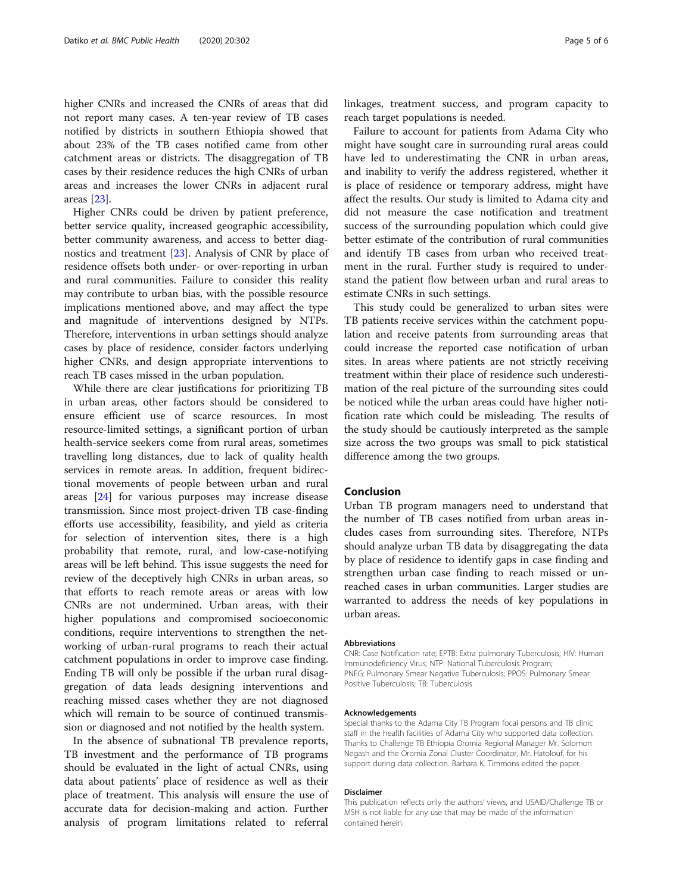higher CNRs and increased the CNRs of areas that did not report many cases. A ten-year review of TB cases notified by districts in southern Ethiopia showed that about 23% of the TB cases notified came from other catchment areas or districts. The disaggregation of TB cases by their residence reduces the high CNRs of urban areas and increases the lower CNRs in adjacent rural areas [\[23](#page-5-0)].

Higher CNRs could be driven by patient preference, better service quality, increased geographic accessibility, better community awareness, and access to better diagnostics and treatment [[23\]](#page-5-0). Analysis of CNR by place of residence offsets both under- or over-reporting in urban and rural communities. Failure to consider this reality may contribute to urban bias, with the possible resource implications mentioned above, and may affect the type and magnitude of interventions designed by NTPs. Therefore, interventions in urban settings should analyze cases by place of residence, consider factors underlying higher CNRs, and design appropriate interventions to reach TB cases missed in the urban population.

While there are clear justifications for prioritizing TB in urban areas, other factors should be considered to ensure efficient use of scarce resources. In most resource-limited settings, a significant portion of urban health-service seekers come from rural areas, sometimes travelling long distances, due to lack of quality health services in remote areas. In addition, frequent bidirectional movements of people between urban and rural areas [\[24](#page-5-0)] for various purposes may increase disease transmission. Since most project-driven TB case-finding efforts use accessibility, feasibility, and yield as criteria for selection of intervention sites, there is a high probability that remote, rural, and low-case-notifying areas will be left behind. This issue suggests the need for review of the deceptively high CNRs in urban areas, so that efforts to reach remote areas or areas with low CNRs are not undermined. Urban areas, with their higher populations and compromised socioeconomic conditions, require interventions to strengthen the networking of urban-rural programs to reach their actual catchment populations in order to improve case finding. Ending TB will only be possible if the urban rural disaggregation of data leads designing interventions and reaching missed cases whether they are not diagnosed which will remain to be source of continued transmission or diagnosed and not notified by the health system.

In the absence of subnational TB prevalence reports, TB investment and the performance of TB programs should be evaluated in the light of actual CNRs, using data about patients' place of residence as well as their place of treatment. This analysis will ensure the use of accurate data for decision-making and action. Further analysis of program limitations related to referral

linkages, treatment success, and program capacity to reach target populations is needed.

Failure to account for patients from Adama City who might have sought care in surrounding rural areas could have led to underestimating the CNR in urban areas, and inability to verify the address registered, whether it is place of residence or temporary address, might have affect the results. Our study is limited to Adama city and did not measure the case notification and treatment success of the surrounding population which could give better estimate of the contribution of rural communities and identify TB cases from urban who received treatment in the rural. Further study is required to understand the patient flow between urban and rural areas to estimate CNRs in such settings.

This study could be generalized to urban sites were TB patients receive services within the catchment population and receive patents from surrounding areas that could increase the reported case notification of urban sites. In areas where patients are not strictly receiving treatment within their place of residence such underestimation of the real picture of the surrounding sites could be noticed while the urban areas could have higher notification rate which could be misleading. The results of the study should be cautiously interpreted as the sample size across the two groups was small to pick statistical difference among the two groups.

## Conclusion

Urban TB program managers need to understand that the number of TB cases notified from urban areas includes cases from surrounding sites. Therefore, NTPs should analyze urban TB data by disaggregating the data by place of residence to identify gaps in case finding and strengthen urban case finding to reach missed or unreached cases in urban communities. Larger studies are warranted to address the needs of key populations in urban areas.

#### Abbreviations

CNR: Case Notification rate; EPTB: Extra pulmonary Tuberculosis; HIV: Human Immunodeficiency Virus; NTP: National Tuberculosis Program; PNEG: Pulmonary Smear Negative Tuberculosis; PPOS: Pulmonary Smear Positive Tuberculosis; TB: Tuberculosis

#### Acknowledgements

Special thanks to the Adama City TB Program focal persons and TB clinic staff in the health facilities of Adama City who supported data collection. Thanks to Challenge TB Ethiopia Oromia Regional Manager Mr. Solomon Negash and the Oromia Zonal Cluster Coordinator, Mr. Hatolouf, for his support during data collection. Barbara K. Timmons edited the paper.

#### Disclaimer

This publication reflects only the authors' views, and USAID/Challenge TB or MSH is not liable for any use that may be made of the information contained herein.